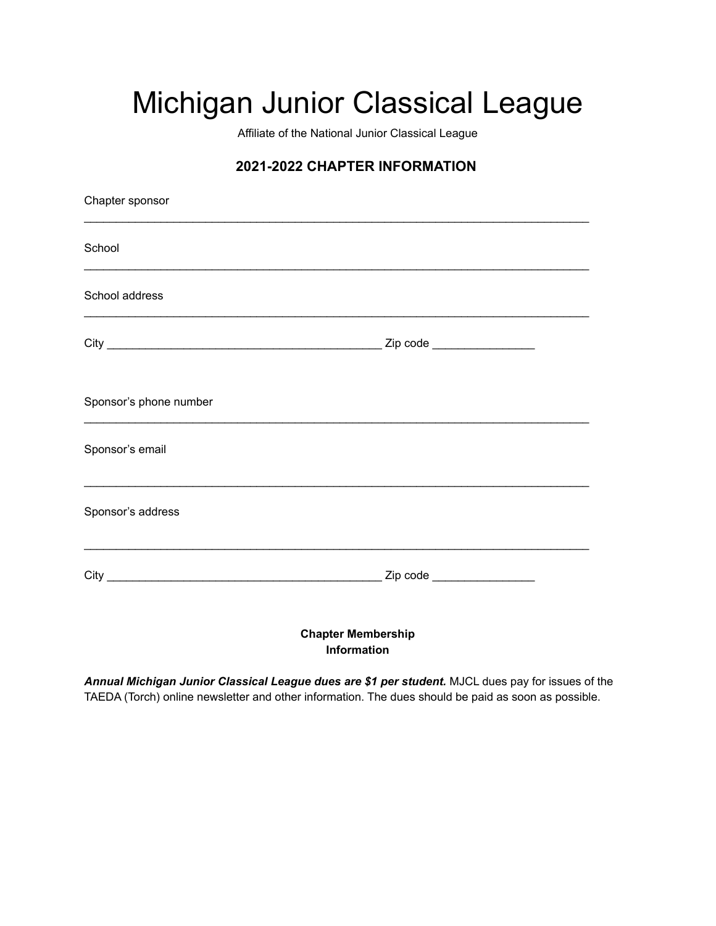## Michigan Junior Classical League

Affiliate of the National Junior Classical League

## **2021-2022 CHAPTER INFORMATION**

| Chapter sponsor                                                                                                       |                                          |  |
|-----------------------------------------------------------------------------------------------------------------------|------------------------------------------|--|
| School                                                                                                                |                                          |  |
| School address                                                                                                        |                                          |  |
|                                                                                                                       |                                          |  |
| Sponsor's phone number                                                                                                |                                          |  |
| Sponsor's email                                                                                                       |                                          |  |
| Sponsor's address                                                                                                     |                                          |  |
| <u> 1989 - Johann John Stone, markin amerikan bestema dalam penyanyi dan berasal dalam bestema dalam bestema dala</u> |                                          |  |
|                                                                                                                       | <b>Chapter Membership</b><br>Information |  |

*Annual Michigan Junior Classical League dues are \$1 per student.* MJCL dues pay for issues of the TAEDA (Torch) online newsletter and other information. The dues should be paid as soon as possible.